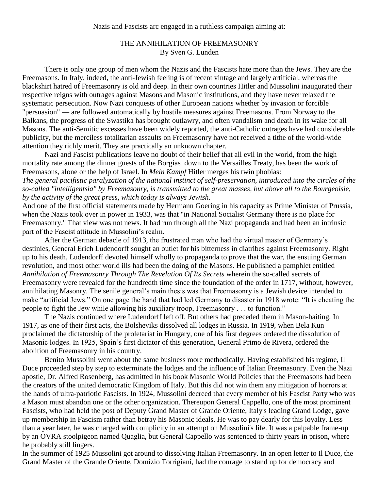## THE ANNIHILATION OF FREEMASONRY By Sven G. Lunden

There is only one group of men whom the Nazis and the Fascists hate more than the Jews. They are the Freemasons. In Italy, indeed, the anti-Jewish feeling is of recent vintage and largely artificial, whereas the blackshirt hatred of Freemasonry is old and deep. In their own countries Hitler and Mussolini inaugurated their respective reigns with outrages against Masons and Masonic institutions, and they have never relaxed the systematic persecution. Now Nazi conquests of other European nations whether by invasion or forcible "persuasion" — are followed automatically by hostile measures against Freemasons. From Norway to the Balkans, the progress of the Swastika has brought outlawry, and often vandalism and death in its wake for all Masons. The anti-Semitic excesses have been widely reported, the anti-Catholic outrages have had considerable publicity, but the merciless totalitarian assaults on Freemasonry have not received a tithe of the world-wide attention they richly merit. They are practically an unknown chapter.

Nazi and Fascist publications leave no doubt of their belief that all evil in the world, from the high mortality rate among the dinner guests of the Borgias down to the Versailles Treaty, has been the work of Freemasons, alone or the help of Israel. In *Mein Kampf* Hitler merges his twin phobias: *The general pacifistic paralyzation of the national instinct of self-preservation, introduced into the circles of the* 

*so-called "intelligentsia" by Freemasonry, is transmitted to the great masses, but above all to the Bourgeoisie, by the activity of the great press, which today is always Jewish.*

And one of the first official statements made by Hermann Goering in his capacity as Prime Minister of Prussia, when the Nazis took over in power in 1933, was that "in National Socialist Germany there is no place for Freemasonry." That view was not news. It had run through all the Nazi propaganda and had been an intrinsic part of the Fascist attitude in Mussolini's realm.

After the German debacle of 1913, the frustrated man who had the virtual master of Germany's destinies, General Erich Ludendorff sought an outlet for his bitterness in diatribes against Freemasonry. Right up to his death, Ludendorff devoted himself wholly to propaganda to prove that the war, the ensuing German revolution, and most other world ills had been the doing of the Masons. He published a pamphlet entitled *Annihilation of Freemasonry Through The Revelation Of Its Secrets* wherein the so-called secrets of Freemasonry were revealed for the hundredth time since the foundation of the order in 1717, without, however, annihilating Masonry. The senile general's main thesis was that Freemasonry is a Jewish device intended to make "artificial Jews." On one page the hand that had led Germany to disaster in 1918 wrote: "It is cheating the people to fight the Jew while allowing his auxiliary troop, Freemasonry . . . to function."

The Nazis continued where Ludendorff left off. But others had preceded them in Mason-baiting. In 1917, as one of their first acts, the Bolsheviks dissolved all lodges in Russia. In 1919, when Bela Kun proclaimed the dictatorship of the proletariat in Hungary, one of his first degrees ordered the dissolution of Masonic lodges. In 1925, Spain's first dictator of this generation, General Primo de Rivera, ordered the abolition of Freemasonry in his country.

Benito Mussolini went about the same business more methodically. Having established his regime, Il Duce proceeded step by step to exterminate the lodges and the influence of Italian Freemasonry. Even the Nazi apostle, Dr. Alfred Rosenberg, has admitted in his book Masonic World Policies that the Freemasons had been the creators of the united democratic Kingdom of Italy. But this did not win them any mitigation of horrors at the hands of ultra-patriotic Fascists. In 1924, Mussolini decreed that every member of his Fascist Party who was a Mason must abandon one or the other organization. Thereupon General Cappello, one of the most prominent Fascists, who had held the post of Deputy Grand Master of Grande Oriente, Italy's leading Grand Lodge, gave up membership in Fascism rather than betray his Masonic ideals. He was to pay dearly for this loyalty. Less than a year later, he was charged with complicity in an attempt on Mussolini's life. It was a palpable frame-up by an OVRA stoolpigeon named Quaglia, but General Cappello was sentenced to thirty years in prison, where he probably still lingers.

In the summer of 1925 Mussolini got around to dissolving Italian Freemasonry. In an open letter to Il Duce, the Grand Master of the Grande Oriente, Domizio Torrigiani, had the courage to stand up for democracy and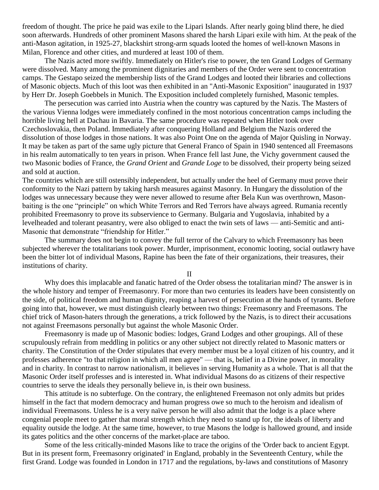freedom of thought. The price he paid was exile to the Lipari Islands. After nearly going blind there, he died soon afterwards. Hundreds of other prominent Masons shared the harsh Lipari exile with him. At the peak of the anti-Mason agitation, in 1925-27, blackshirt strong-arm squads looted the homes of well-known Masons in Milan, Florence and other cities, and murdered at least 100 of them.

The Nazis acted more swiftly. Immediately on Hitler's rise to power, the ten Grand Lodges of Germany were dissolved. Many among the prominent dignitaries and members of the Order were sent to concentration camps. The Gestapo seized the membership lists of the Grand Lodges and looted their libraries and collections of Masonic objects. Much of this loot was then exhibited in an "Anti-Masonic Exposition" inaugurated in 1937 by Herr Dr. Joseph Goebbels in Munich. The Exposition included completely furnished, Masonic temples.

The persecution was carried into Austria when the country was captured by the Nazis. The Masters of the various Vienna lodges were immediately confined in the most notorious concentration camps including the horrible living hell at Dachau in Bavaria. The same procedure was repeated when Hitler took over Czechoslovakia, then Poland. Immediately after conquering Holland and Belgium the Nazis ordered the dissolution of those lodges in those nations. It was also Point One on the agenda of Major Quisling in Norway. It may be taken as part of the same ugly picture that General Franco of Spain in 1940 sentenced all Freemasons in his realm automatically to ten years in prison. When France fell last June, the Vichy government caused the two Masonic bodies of France, the *Grand Orient* and *Grande Loge* to be dissolved, their property being seized and sold at auction.

The countries which are still ostensibly independent, but actually under the heel of Germany must prove their conformity to the Nazi pattern by taking harsh measures against Masonry. In Hungary the dissolution of the lodges was unnecessary because they were never allowed to resume after Bela Kun was overthrown, Masonbaiting is the one "principle" on which White Terrors and Red Terrors have always agreed. Rumania recently prohibited Freemasonry to prove its subservience to Germany. Bulgaria and Yugoslavia, inhabited by a levelheaded and tolerant peasantry, were also obliged to enact the twin sets of laws — anti-Semitic and anti-Masonic that demonstrate "friendship for Hitler."

The summary does not begin to convey the full terror of the Calvary to which Freemasonry has been subjected wherever the totalitarians took power. Murder, imprisonment, economic looting, social outlawry have been the bitter lot of individual Masons, Rapine has been the fate of their organizations, their treasures, their institutions of charity.

II

Why does this implacable and fanatic hatred of the Order obsess the totalitarian mind? The answer is in the whole history and temper of Freemasonry. For more than two centuries its leaders have been consistently on the side, of political freedom and human dignity, reaping a harvest of persecution at the hands of tyrants. Before going into that, however, we must distinguish clearly between two things: Freemasonry and Freemasons. The chief trick of Mason-haters through the generations, a trick followed by the Nazis, is to direct their accusations not against Freemasons personally but against the whole Masonic Order.

Freemasonry is made up of Masonic bodies: lodges, Grand Lodges and other groupings. All of these scrupulously refrain from meddling in politics or any other subject not directly related to Masonic matters or charity. The Constitution of the Order stipulates that every member must be a loyal citizen of his country, and it professes adherence "to that religion in which all men agree" — that is, belief in a Divine power, in morality and in charity. In contrast to narrow nationalism, it believes in serving Humanity as a whole. That is all that the Masonic Order itself professes and is interested in. What individual Masons do as citizens of their respective countries to serve the ideals they personally believe in, is their own business.

This attitude is no subterfuge. On the contrary, the enlightened Freemason not only admits but prides himself in the fact that modern democracy and human progress owe so much to the heroism and idealism of individual Freemasons. Unless he is a very naïve person he will also admit that the lodge is a place where congenial people meet to gather that moral strength which they need to stand up for, the ideals of liberty and equality outside the lodge. At the same time, however, to true Masons the lodge is hallowed ground, and inside its gates politics and the other concerns of the market-place are taboo.

Some of the less critically-minded Masons like to trace the origins of the 'Order back to ancient Egypt. But in its present form, Freemasonry originated' in England, probably in the Seventeenth Century, while the first Grand. Lodge was founded in London in 1717 and the regulations, by-laws and constitutions of Masonry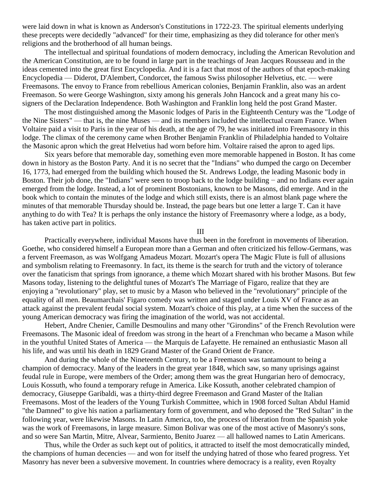were laid down in what is known as Anderson's Constitutions in 1722-23. The spiritual elements underlying these precepts were decidedly "advanced" for their time, emphasizing as they did tolerance for other men's religions and the brotherhood of all human beings.

The intellectual and spiritual foundations of modern democracy, including the American Revolution and the American Constitution, are to be found in large part in the teachings of Jean Jacques Rousseau and in the ideas cemented into the great first Encyclopedia. And it is a fact that most of the authors of that epoch-making Encyclopedia — Diderot, D'Alembert, Condorcet, the famous Swiss philosopher Helvetius, etc. — were Freemasons. The envoy to France from rebellious American colonies, Benjamin Franklin, also was an ardent Freemason. So were George Washington, sixty among his generals John Hancock and a great many his cosigners of the Declaration Independence. Both Washington and Franklin long held the post Grand Master.

The most distinguished among the Masonic lodges of Paris in the Eighteenth Century was the "Lodge of the Nine Sisters" — that is, the nine Muses — and its members included the intellectual cream France. When Voltaire paid a visit to Paris in the year of his death, at the age of 79, he was initiated into Freemasonry in this lodge. The climax of the ceremony came when Brother Benjamin Franklin of Philadelphia handed to Voltaire the Masonic apron which the great Helvetius had worn before him. Voltaire raised the apron to aged lips.

Six years before that memorable day, something even more memorable happened in Boston. It has come down in history as the Boston Party. And it is no secret that the "Indians" who dumped the cargo on December 16, 1773, had emerged from the building which housed the St. Andrews Lodge, the leading Masonic body in Boston. Their job done, the "Indians" were seen to troop back to the lodge building − and no Indians ever again emerged from the lodge. Instead, a lot of prominent Bostonians, known to be Masons, did emerge. And in the book which to contain the minutes of the lodge and which still exists, there is an almost blank page where the minutes of that memorable Thursday should be. Instead, the page bears but one letter a large T. Can it have anything to do with Tea? It is perhaps the only instance the history of Freemasonry where a lodge, as a body, has taken active part in politics.

III

Practically everywhere, individual Masons have thus been in the forefront in movements of liberation. Goethe, who considered himself a European more than a German and often criticized his fellow-Germans, was a fervent Freemason, as was Wolfgang Amadeus Mozart. Mozart's opera The Magic Flute is full of allusions and symbolism relating to Freemasonry. In fact, its theme is the search for truth and the victory of tolerance over the fanaticism that springs from ignorance, a theme which Mozart shared with his brother Masons. But few Masons today, listening to the delightful tunes of Mozart's The Marriage of Figaro, realize that they are enjoying a "revolutionary" play, set to music by a Mason who believed in the "revolutionary" principle of the equality of all men. Beaumarchais' Figaro comedy was written and staged under Louis XV of France as an attack against the prevalent feudal social system. Mozart's choice of this play, at a time when the success of the young American democracy was firing the imagination of the world, was not accidental.

Hebert, Andre Chenier, Camille Desmoulins and many other "Girondins" of the French Revolution were Freemasons. The Masonic ideal of freedom was strong in the heart of a Frenchman who became a Mason while in the youthful United States of America — the Marquis de Lafayette. He remained an enthusiastic Mason all his life, and was until his death in 1829 Grand Master of the Grand Orient de France.

And during the whole of the Nineteenth Century, to be a Freemason was tantamount to being a champion of democracy. Many of the leaders in the great year 1848, which saw, so many uprisings against feudal rule in Europe, were members of the Order; among them was the great Hungarian hero of democracy, Louis Kossuth, who found a temporary refuge in America. Like Kossuth, another celebrated champion of democracy, Giuseppe Garibaldi, was a thirty-third degree Freemason and Grand Master of the Italian Freemasons. Most of the leaders of the Young Turkish Committee, which in 1908 forced Sultan Abdul Hamid "the Damned" to give his nation a parliamentary form of government, and who deposed the "Red Sultan" in the following year, were likewise Masons. In Latin America, too, the process of liberation from the Spanish yoke was the work of Freemasons, in large measure. Simon Bolivar was one of the most active of Masonry's sons, and so were San Martin, Mitre, Alvear, Sarmiento, Benito Juarez — all hallowed names to Latin Americans.

Thus, while the Order as such kept out of politics, it attracted to itself the most democratically minded, the champions of human decencies — and won for itself the undying hatred of those who feared progress. Yet Masonry has never been a subversive movement. In countries where democracy is a reality, even Royalty